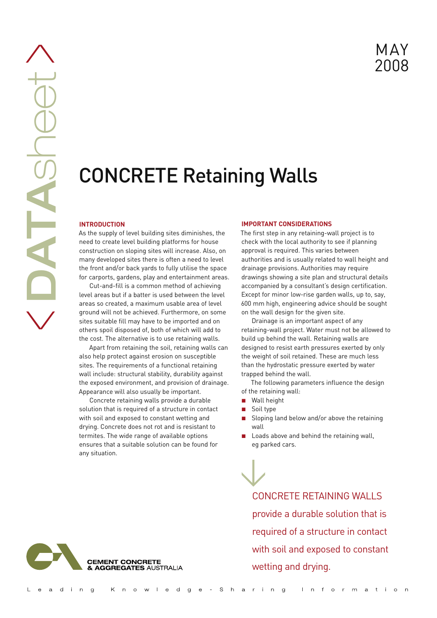# **CONCRETE Retaining Walls**

# **Introduction**

**DATA**sheet

ATAShee

 $\bigwedge$ 

 $\bigvee$ 

As the supply of level building sites diminishes, the need to create level building platforms for house construction on sloping sites will increase. Also, on many developed sites there is often a need to level the front and/or back yards to fully utilise the space for carports, gardens, play and entertainment areas.

Cut-and-fill is a common method of achieving level areas but if a batter is used between the level areas so created, a maximum usable area of level ground will not be achieved. Furthermore, on some sites suitable fill may have to be imported and on others spoil disposed of, both of which will add to the cost. The alternative is to use retaining walls.

Apart from retaining the soil, retaining walls can also help protect against erosion on susceptible sites. The requirements of a functional retaining wall include: structural stability, durability against the exposed environment, and provision of drainage. Appearance will also usually be important.

Concrete retaining walls provide a durable solution that is required of a structure in contact with soil and exposed to constant wetting and drying. Concrete does not rot and is resistant to termites. The wide range of available options ensures that a suitable solution can be found for any situation.

# **Important Considerations**

The first step in any retaining-wall project is to check with the local authority to see if planning approval is required. This varies between authorities and is usually related to wall height and drainage provisions. Authorities may require drawings showing a site plan and structural details accompanied by a consultant's design certification. Except for minor low-rise garden walls, up to, say, 600 mm high, engineering advice should be sought on the wall design for the given site.

Drainage is an important aspect of any retaining-wall project. Water must not be allowed to build up behind the wall. Retaining walls are designed to resist earth pressures exerted by only the weight of soil retained. These are much less than the hydrostatic pressure exerted by water trapped behind the wall.

The following parameters influence the design of the retaining wall:

- **Nall height**
- Soil type
- Sloping land below and/or above the retaining wall
- $\blacksquare$  Loads above and behind the retaining wall, eg parked cars.

CONCRETE RETAINING WALLS provide a durable solution that is required of a structure in contact with soil and exposed to constant wetting and drying.  $\bigvee$ 

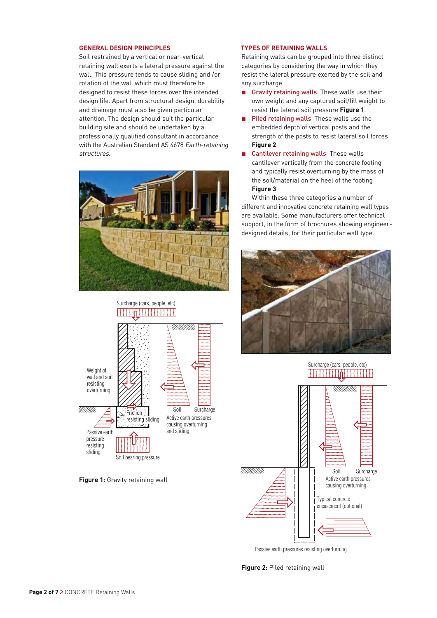# **General Design Principles**

Soil restrained by a vertical or near-vertical retaining wall exerts a lateral pressure against the wall. This pressure tends to cause sliding and /or rotation of the wall which must therefore be designed to resist these forces over the intended design life. Apart from structural design, durability and drainage must also be given particular attention. The design should suit the particular building site and should be undertaken by a professionally qualified consultant in accordance with the Australian Standard AS 4678 Earth-retaining structures.





**Figure 1:** Gravity retaining wall

# **Types of Retaining Walls**

Retaining walls can be grouped into three distinct categories by considering the way in which they resist the lateral pressure exerted by the soil and any surcharge.

- **n** Gravity retaining walls These walls use their own weight and any captured soil/fill weight to resist the lateral soil pressure **Figure 1**.
- Piled retaining walls These walls use the embedded depth of vertical posts and the strength of the posts to resist lateral soil forces **Figure 2**.
- Cantilever retaining walls These walls cantilever vertically from the concrete footing and typically resist overturning by the mass of the soil/material on the heel of the footing **Figure 3**.

Within these three categories a number of different and innovative concrete retaining wall types are available. Some manufacturers offer technical support, in the form of brochures showing engineerdesigned details, for their particular wall type.







**Figure 2:** Piled retaining wall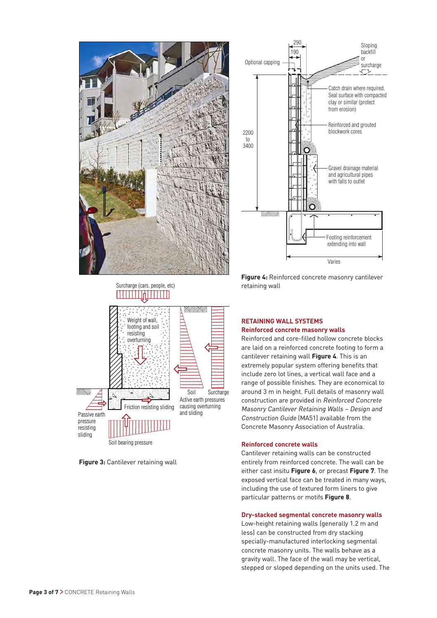



# Surcharge (cars, people, etc)



**Figure 3:** Cantilever retaining wall

**Figure 4:** Reinforced concrete masonry cantilever retaining wall

# **Retaining Wall Systems Reinforced concrete masonry walls**

Reinforced and core-filled hollow concrete blocks are laid on a reinforced concrete footing to form a cantilever retaining wall **Figure 4**. This is an extremely popular system offering benefits that include zero lot lines, a vertical wall face and a range of possible finishes. They are economical to around 3 m in height. Full details of masonry wall construction are provided in Reinforced Concrete Masonry Cantilever Retaining Walls – Design and Construction Guide (MA51) available from the Concrete Masonry Association of Australia.

# **Reinforced concrete walls**

Cantilever retaining walls can be constructed entirely from reinforced concrete. The wall can be either cast insitu **Figure 6**, or precast **Figure 7**. The exposed vertical face can be treated in many ways, including the use of textured form liners to give particular patterns or motifs **Figure 8**.

# **Dry-stacked segmental concrete masonry walls**

Low-height retaining walls (generally 1.2 m and less) can be constructed from dry stacking specially-manufactured interlocking segmental concrete masonry units. The walls behave as a gravity wall. The face of the wall may be vertical, stepped or sloped depending on the units used. The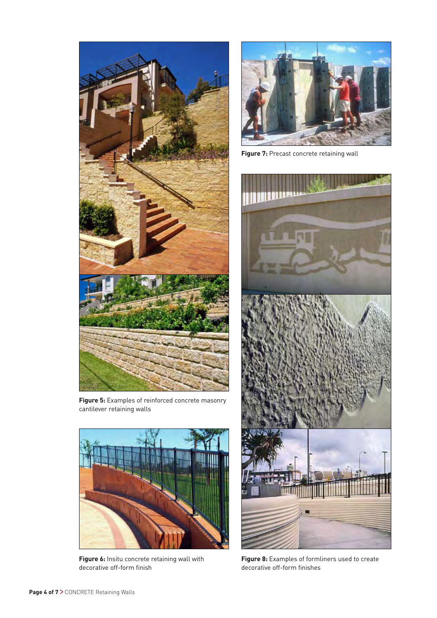

**Figure 5:** Examples of reinforced concrete masonry cantilever retaining walls



**Figure 6:** Insitu concrete retaining wall with decorative off-form finish



**Figure 7:** Precast concrete retaining wall



**Figure 8:** Examples of formliners used to create decorative off-form finishes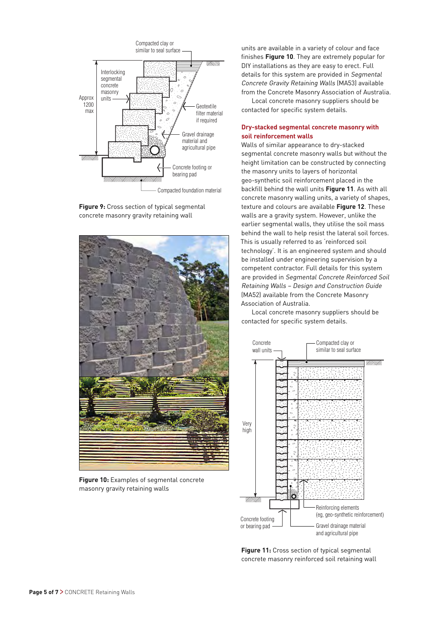

**Figure 9:** Cross section of typical segmental concrete masonry gravity retaining wall



**Figure 10:** Examples of segmental concrete masonry gravity retaining walls

units are available in a variety of colour and face finishes **Figure 10**. They are extremely popular for DIY installations as they are easy to erect. Full details for this system are provided in Segmental Concrete Gravity Retaining Walls (MA53) available from the Concrete Masonry Association of Australia.

Local concrete masonry suppliers should be contacted for specific system details.

# **Dry-stacked segmental concrete masonry with soil reinforcement walls**

Walls of similar appearance to dry-stacked segmental concrete masonry walls but without the height limitation can be constructed by connecting the masonry units to layers of horizontal geo-synthetic soil reinforcement placed in the backfill behind the wall units **Figure 11**. As with all concrete masonry walling units, a variety of shapes, texture and colours are available **Figure 12**. These walls are a gravity system. However, unlike the earlier segmental walls, they utilise the soil mass behind the wall to help resist the lateral soil forces. This is usually referred to as 'reinforced soil technology'. It is an engineered system and should be installed under engineering supervision by a competent contractor. Full details for this system are provided in Segmental Concrete Reinforced Soil Retaining Walls – Design and Construction Guide (MA52) available from the Concrete Masonry Association of Australia.

Local concrete masonry suppliers should be contacted for specific system details.



**Figure 11:** Cross section of typical segmental concrete masonry reinforced soil retaining wall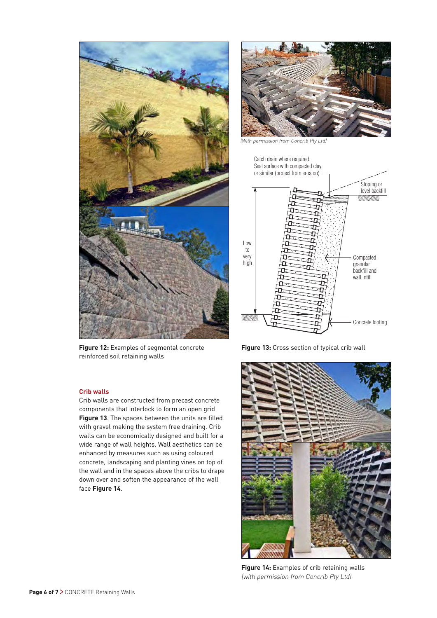

**Figure 12:** Examples of segmental concrete reinforced soil retaining walls

# **Crib walls**

Crib walls are constructed from precast concrete components that interlock to form an open grid **Figure 13**. The spaces between the units are filled with gravel making the system free draining. Crib walls can be economically designed and built for a wide range of wall heights. Wall aesthetics can be enhanced by measures such as using coloured concrete, landscaping and planting vines on top of the wall and in the spaces above the cribs to drape down over and soften the appearance of the wall face **Figure 14**.



(With permission from Concrib Pty Ltd)



**Figure 13:** Cross section of typical crib wall



**Figure 14:** Examples of crib retaining walls (with permission from Concrib Pty Ltd)